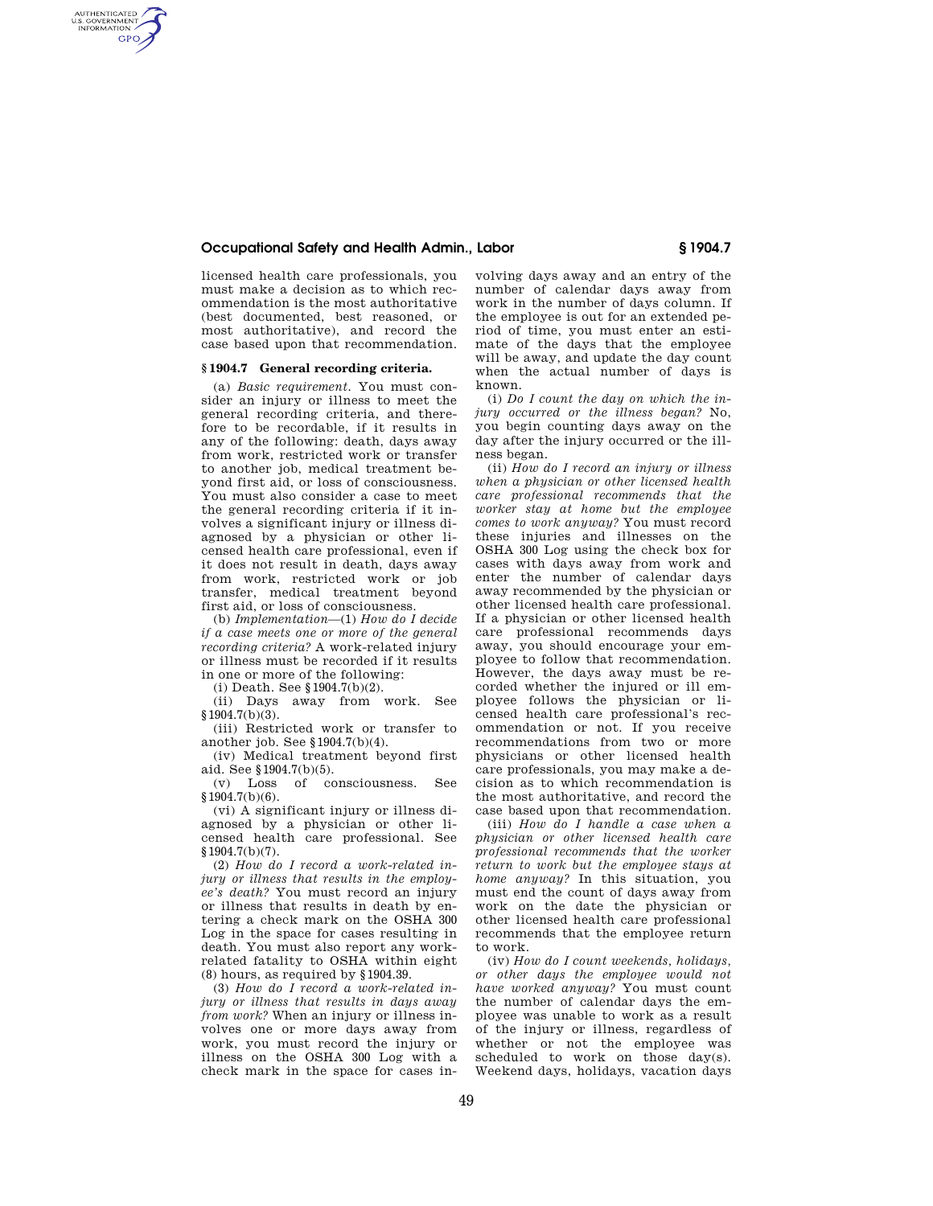# **Occupational Safety and Health Admin., Labor § 1904.7**

licensed health care professionals, you must make a decision as to which recommendation is the most authoritative (best documented, best reasoned, or most authoritative), and record the case based upon that recommendation.

#### **§ 1904.7 General recording criteria.**

AUTHENTICATED<br>U.S. GOVERNMENT<br>INFORMATION **GPO** 

> (a) *Basic requirement.* You must consider an injury or illness to meet the general recording criteria, and therefore to be recordable, if it results in any of the following: death, days away from work, restricted work or transfer to another job, medical treatment beyond first aid, or loss of consciousness. You must also consider a case to meet the general recording criteria if it involves a significant injury or illness diagnosed by a physician or other licensed health care professional, even if it does not result in death, days away from work, restricted work or job transfer, medical treatment beyond first aid, or loss of consciousness.

> (b) *Implementation*—(1) *How do I decide if a case meets one or more of the general recording criteria?* A work-related injury or illness must be recorded if it results in one or more of the following:

(i) Death. See §1904.7(b)(2).

(ii) Days away from work. See §1904.7(b)(3).

(iii) Restricted work or transfer to another job. See §1904.7(b)(4).

(iv) Medical treatment beyond first aid. See §1904.7(b)(5).

(v) Loss of consciousness. See §1904.7(b)(6).

(vi) A significant injury or illness diagnosed by a physician or other licensed health care professional. See §1904.7(b)(7).

(2) *How do I record a work-related injury or illness that results in the employee's death?* You must record an injury or illness that results in death by entering a check mark on the OSHA 300 Log in the space for cases resulting in death. You must also report any workrelated fatality to OSHA within eight (8) hours, as required by §1904.39.

(3) *How do I record a work-related injury or illness that results in days away from work?* When an injury or illness involves one or more days away from work, you must record the injury or illness on the OSHA 300 Log with a check mark in the space for cases involving days away and an entry of the number of calendar days away from work in the number of days column. If the employee is out for an extended period of time, you must enter an estimate of the days that the employee will be away, and update the day count when the actual number of days is known.

(i) *Do I count the day on which the injury occurred or the illness began?* No, you begin counting days away on the day after the injury occurred or the illness began.

(ii) *How do I record an injury or illness when a physician or other licensed health care professional recommends that the worker stay at home but the employee comes to work anyway?* You must record these injuries and illnesses on the OSHA 300 Log using the check box for cases with days away from work and enter the number of calendar days away recommended by the physician or other licensed health care professional. If a physician or other licensed health care professional recommends days away, you should encourage your employee to follow that recommendation. However, the days away must be recorded whether the injured or ill employee follows the physician or licensed health care professional's recommendation or not. If you receive recommendations from two or more physicians or other licensed health care professionals, you may make a decision as to which recommendation is the most authoritative, and record the case based upon that recommendation.

(iii) *How do I handle a case when a physician or other licensed health care professional recommends that the worker return to work but the employee stays at home anyway?* In this situation, you must end the count of days away from work on the date the physician or other licensed health care professional recommends that the employee return to work.

(iv) *How do I count weekends, holidays, or other days the employee would not have worked anyway?* You must count the number of calendar days the employee was unable to work as a result of the injury or illness, regardless of whether or not the employee was scheduled to work on those day(s). Weekend days, holidays, vacation days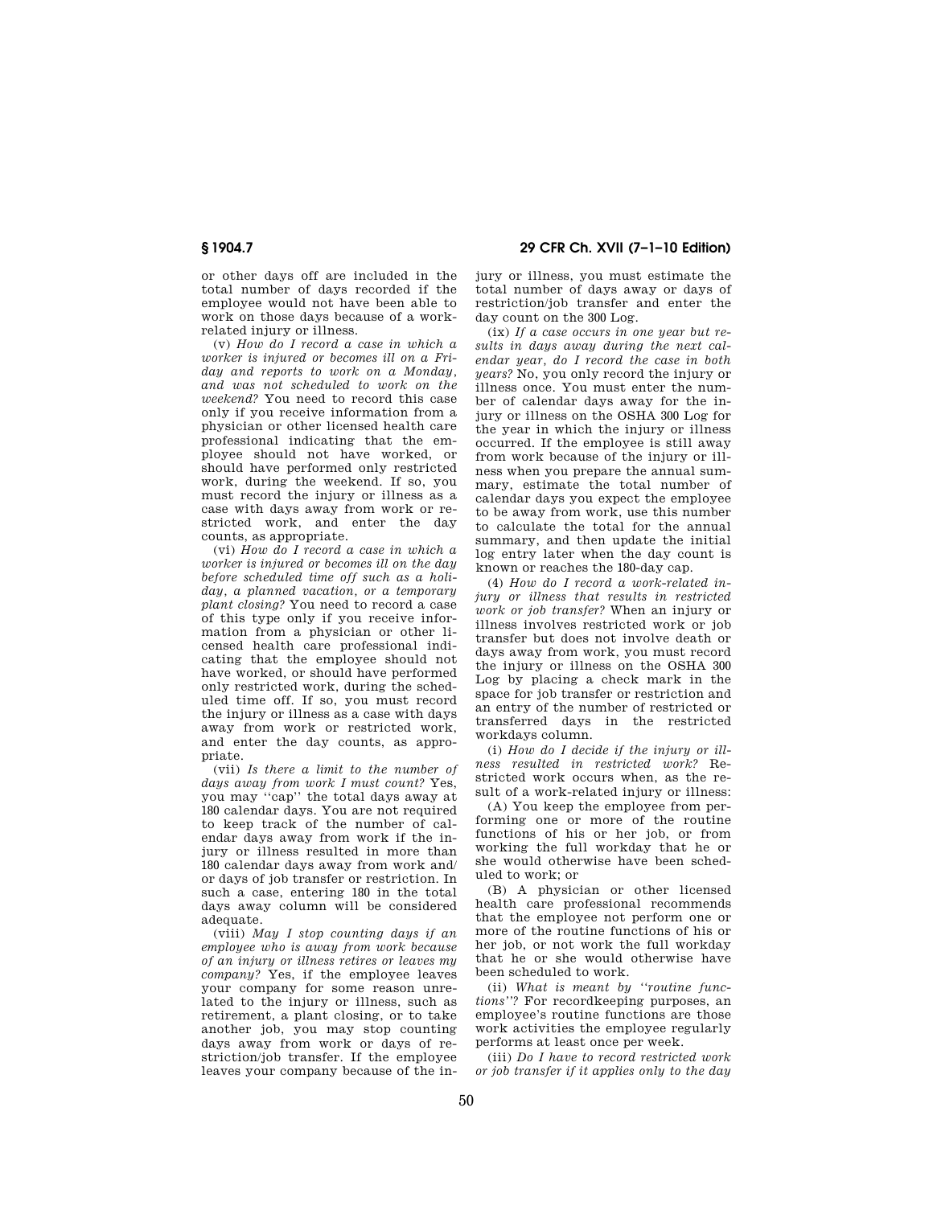or other days off are included in the total number of days recorded if the employee would not have been able to work on those days because of a workrelated injury or illness.

(v) *How do I record a case in which a worker is injured or becomes ill on a Friday and reports to work on a Monday, and was not scheduled to work on the weekend?* You need to record this case only if you receive information from a physician or other licensed health care professional indicating that the employee should not have worked, or should have performed only restricted work, during the weekend. If so, you must record the injury or illness as a case with days away from work or restricted work, and enter the day counts, as appropriate.

(vi) *How do I record a case in which a worker is injured or becomes ill on the day before scheduled time off such as a holiday, a planned vacation, or a temporary plant closing?* You need to record a case of this type only if you receive information from a physician or other licensed health care professional indicating that the employee should not have worked, or should have performed only restricted work, during the scheduled time off. If so, you must record the injury or illness as a case with days away from work or restricted work, and enter the day counts, as appropriate.

(vii) *Is there a limit to the number of days away from work I must count?* Yes, you may ''cap'' the total days away at 180 calendar days. You are not required to keep track of the number of calendar days away from work if the injury or illness resulted in more than 180 calendar days away from work and/ or days of job transfer or restriction. In such a case, entering 180 in the total days away column will be considered adequate.

(viii) *May I stop counting days if an employee who is away from work because of an injury or illness retires or leaves my company?* Yes, if the employee leaves your company for some reason unrelated to the injury or illness, such as retirement, a plant closing, or to take another job, you may stop counting days away from work or days of restriction/job transfer. If the employee leaves your company because of the in-

**§ 1904.7 29 CFR Ch. XVII (7–1–10 Edition)** 

jury or illness, you must estimate the total number of days away or days of restriction/job transfer and enter the day count on the 300 Log.

(ix) *If a case occurs in one year but results in days away during the next calendar year, do I record the case in both years?* No, you only record the injury or illness once. You must enter the number of calendar days away for the injury or illness on the OSHA 300 Log for the year in which the injury or illness occurred. If the employee is still away from work because of the injury or illness when you prepare the annual summary, estimate the total number of calendar days you expect the employee to be away from work, use this number to calculate the total for the annual summary, and then update the initial log entry later when the day count is known or reaches the 180-day cap.

(4) *How do I record a work-related injury or illness that results in restricted work or job transfer?* When an injury or illness involves restricted work or job transfer but does not involve death or days away from work, you must record the injury or illness on the OSHA 300 Log by placing a check mark in the space for job transfer or restriction and an entry of the number of restricted or transferred days in the restricted workdays column.

(i) *How do I decide if the injury or illness resulted in restricted work?* Restricted work occurs when, as the result of a work-related injury or illness:

(A) You keep the employee from performing one or more of the routine functions of his or her job, or from working the full workday that he or she would otherwise have been scheduled to work; or

(B) A physician or other licensed health care professional recommends that the employee not perform one or more of the routine functions of his or her job, or not work the full workday that he or she would otherwise have been scheduled to work.

(ii) *What is meant by ''routine functions''?* For recordkeeping purposes, an employee's routine functions are those work activities the employee regularly performs at least once per week.

(iii) *Do I have to record restricted work or job transfer if it applies only to the day*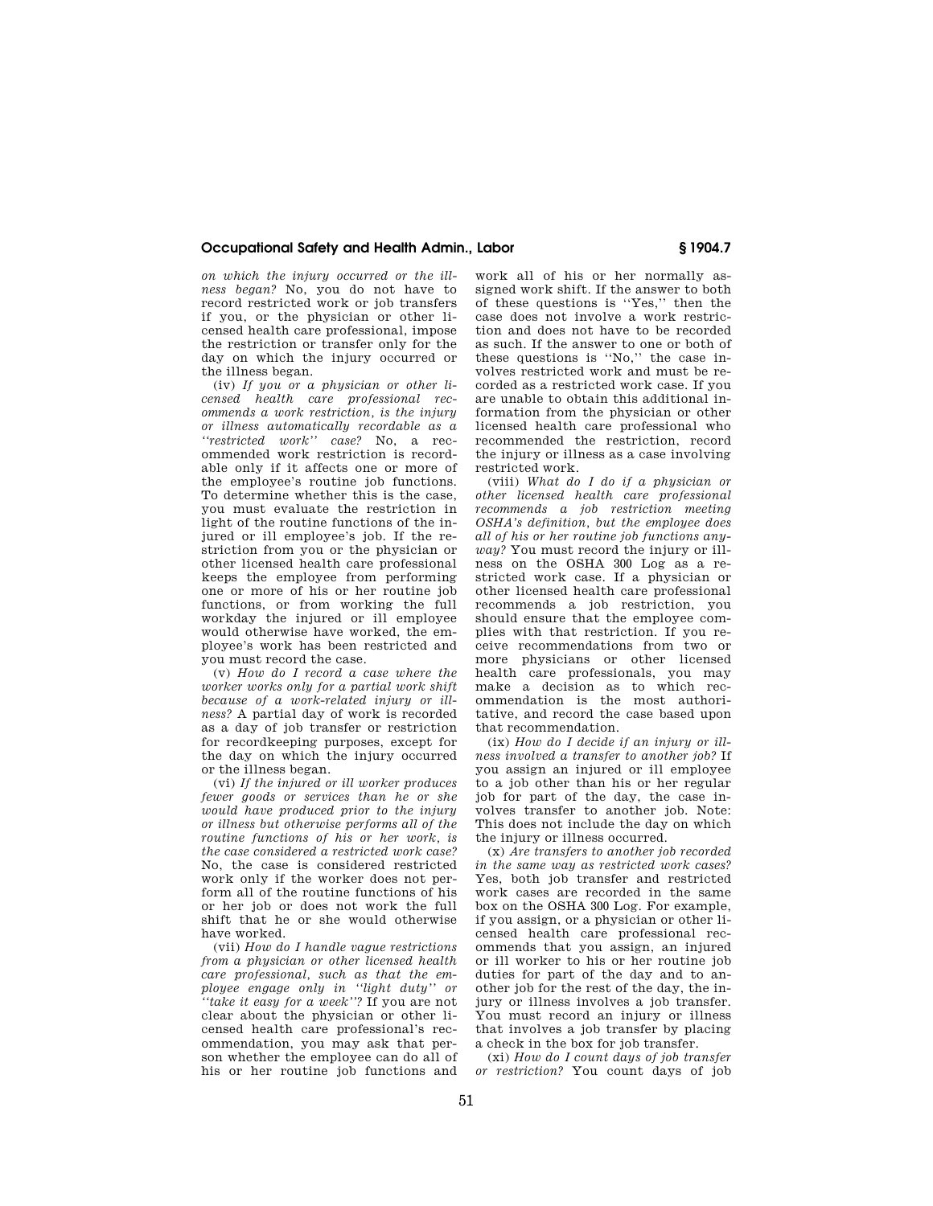# **Occupational Safety and Health Admin., Labor § 1904.7**

*on which the injury occurred or the illness began?* No, you do not have to record restricted work or job transfers if you, or the physician or other licensed health care professional, impose the restriction or transfer only for the day on which the injury occurred or the illness began.

(iv) *If you or a physician or other licensed health care professional recommends a work restriction, is the injury or illness automatically recordable as a ''restricted work'' case?* No, a recommended work restriction is recordable only if it affects one or more of the employee's routine job functions. To determine whether this is the case, you must evaluate the restriction in light of the routine functions of the injured or ill employee's job. If the restriction from you or the physician or other licensed health care professional keeps the employee from performing one or more of his or her routine job functions, or from working the full workday the injured or ill employee would otherwise have worked, the employee's work has been restricted and you must record the case.

(v) *How do I record a case where the worker works only for a partial work shift because of a work-related injury or illness?* A partial day of work is recorded as a day of job transfer or restriction for recordkeeping purposes, except for the day on which the injury occurred or the illness began.

(vi) *If the injured or ill worker produces fewer goods or services than he or she would have produced prior to the injury or illness but otherwise performs all of the routine functions of his or her work, is the case considered a restricted work case?*  No, the case is considered restricted work only if the worker does not perform all of the routine functions of his or her job or does not work the full shift that he or she would otherwise have worked.

(vii) *How do I handle vague restrictions from a physician or other licensed health care professional, such as that the employee engage only in ''light duty'' or ''take it easy for a week''?* If you are not clear about the physician or other licensed health care professional's recommendation, you may ask that person whether the employee can do all of his or her routine job functions and

work all of his or her normally assigned work shift. If the answer to both of these questions is ''Yes,'' then the case does not involve a work restriction and does not have to be recorded as such. If the answer to one or both of these questions is ''No,'' the case involves restricted work and must be recorded as a restricted work case. If you are unable to obtain this additional information from the physician or other licensed health care professional who recommended the restriction, record the injury or illness as a case involving restricted work.

(viii) *What do I do if a physician or other licensed health care professional recommends a job restriction meeting OSHA's definition, but the employee does all of his or her routine job functions anyway?* You must record the injury or illness on the OSHA 300 Log as a restricted work case. If a physician or other licensed health care professional recommends a job restriction, you should ensure that the employee complies with that restriction. If you receive recommendations from two or more physicians or other licensed health care professionals, you may make a decision as to which recommendation is the most authoritative, and record the case based upon that recommendation.

(ix) *How do I decide if an injury or illness involved a transfer to another job?* If you assign an injured or ill employee to a job other than his or her regular job for part of the day, the case involves transfer to another job. Note: This does not include the day on which the injury or illness occurred.

(x) *Are transfers to another job recorded in the same way as restricted work cases?*  Yes, both job transfer and restricted work cases are recorded in the same box on the OSHA 300 Log. For example, if you assign, or a physician or other licensed health care professional recommends that you assign, an injured or ill worker to his or her routine job duties for part of the day and to another job for the rest of the day, the injury or illness involves a job transfer. You must record an injury or illness that involves a job transfer by placing a check in the box for job transfer.

(xi) *How do I count days of job transfer or restriction?* You count days of job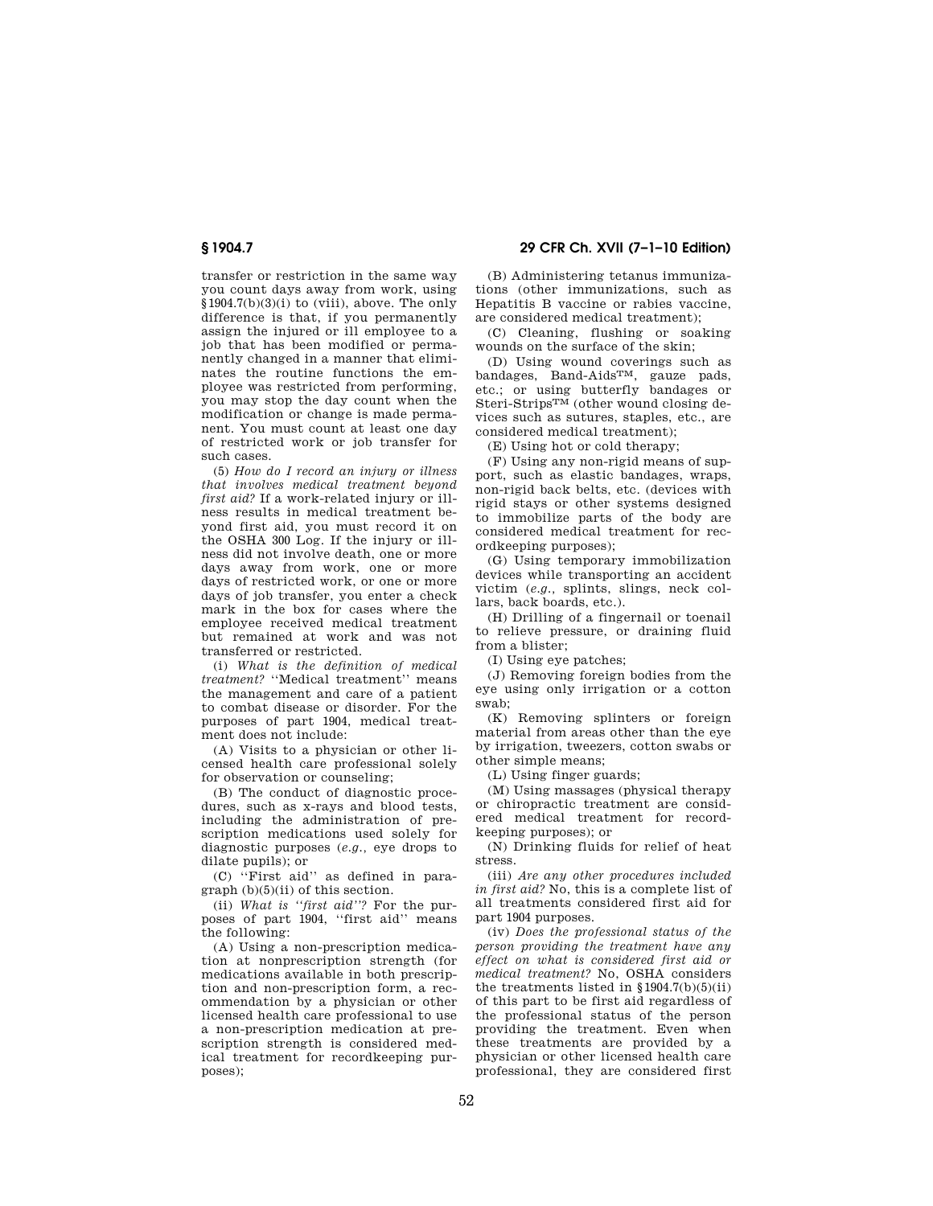# **§ 1904.7 29 CFR Ch. XVII (7–1–10 Edition)**

transfer or restriction in the same way you count days away from work, using  $§1904.7(b)(3)(i)$  to (viii), above. The only difference is that, if you permanently assign the injured or ill employee to a job that has been modified or permanently changed in a manner that eliminates the routine functions the employee was restricted from performing, you may stop the day count when the modification or change is made permanent. You must count at least one day of restricted work or job transfer for such cases.

(5) *How do I record an injury or illness that involves medical treatment beyond first aid?* If a work-related injury or illness results in medical treatment beyond first aid, you must record it on the OSHA 300 Log. If the injury or illness did not involve death, one or more days away from work, one or more days of restricted work, or one or more days of job transfer, you enter a check mark in the box for cases where the employee received medical treatment but remained at work and was not transferred or restricted.

(i) *What is the definition of medical treatment?* ''Medical treatment'' means the management and care of a patient to combat disease or disorder. For the purposes of part 1904, medical treatment does not include:

(A) Visits to a physician or other licensed health care professional solely for observation or counseling;

(B) The conduct of diagnostic procedures, such as x-rays and blood tests, including the administration of prescription medications used solely for diagnostic purposes (*e.g.,* eye drops to dilate pupils); or

(C) ''First aid'' as defined in paragraph (b)(5)(ii) of this section.

(ii) *What is ''first aid''?* For the purposes of part 1904, ''first aid'' means the following:

(A) Using a non-prescription medication at nonprescription strength (for medications available in both prescription and non-prescription form, a recommendation by a physician or other licensed health care professional to use a non-prescription medication at prescription strength is considered medical treatment for recordkeeping purposes);

(B) Administering tetanus immunizations (other immunizations, such as Hepatitis B vaccine or rabies vaccine, are considered medical treatment);

(C) Cleaning, flushing or soaking wounds on the surface of the skin;

(D) Using wound coverings such as bandages, Band-AidsTM, gauze pads, etc.; or using butterfly bandages or Steri-StripsTM (other wound closing devices such as sutures, staples, etc., are considered medical treatment);

(E) Using hot or cold therapy;

(F) Using any non-rigid means of support, such as elastic bandages, wraps, non-rigid back belts, etc. (devices with rigid stays or other systems designed to immobilize parts of the body are considered medical treatment for recordkeeping purposes);

(G) Using temporary immobilization devices while transporting an accident victim (*e.g.,* splints, slings, neck collars, back boards, etc.).

(H) Drilling of a fingernail or toenail to relieve pressure, or draining fluid from a blister;

(I) Using eye patches;

(J) Removing foreign bodies from the eye using only irrigation or a cotton swab;

(K) Removing splinters or foreign material from areas other than the eye by irrigation, tweezers, cotton swabs or other simple means;

(L) Using finger guards;

(M) Using massages (physical therapy or chiropractic treatment are considered medical treatment for recordkeeping purposes); or

(N) Drinking fluids for relief of heat stress.

(iii) *Are any other procedures included in first aid?* No, this is a complete list of all treatments considered first aid for part 1904 purposes.

(iv) *Does the professional status of the person providing the treatment have any effect on what is considered first aid or medical treatment?* No, OSHA considers the treatments listed in  $§1904.7(b)(5)(ii)$ of this part to be first aid regardless of the professional status of the person providing the treatment. Even when these treatments are provided by a physician or other licensed health care professional, they are considered first